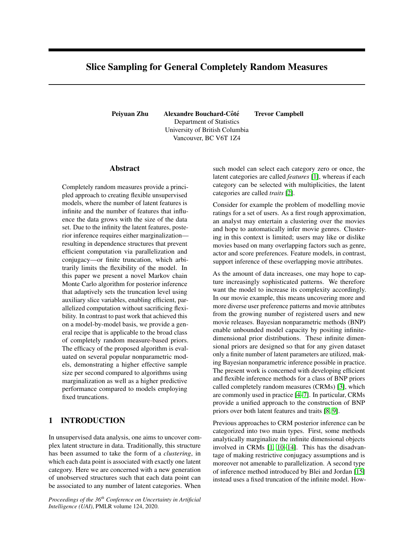# Slice Sampling for General Completely Random Measures

Peiyuan Zhu Alexandre Bouchard-Côté Trevor Campbell Department of Statistics University of British Columbia Vancouver, BC V6T 1Z4

## Abstract

Completely random measures provide a principled approach to creating flexible unsupervised models, where the number of latent features is infinite and the number of features that influence the data grows with the size of the data set. Due to the infinity the latent features, posterior inference requires either marginalization resulting in dependence structures that prevent efficient computation via parallelization and conjugacy—or finite truncation, which arbitrarily limits the flexibility of the model. In this paper we present a novel Markov chain Monte Carlo algorithm for posterior inference that adaptively sets the truncation level using auxiliary slice variables, enabling efficient, parallelized computation without sacrificing flexibility. In contrast to past work that achieved this on a model-by-model basis, we provide a general recipe that is applicable to the broad class of completely random measure-based priors. The efficacy of the proposed algorithm is evaluated on several popular nonparametric models, demonstrating a higher effective sample size per second compared to algorithms using marginalization as well as a higher predictive performance compared to models employing fixed truncations.

# 1 INTRODUCTION

In unsupervised data analysis, one aims to uncover complex latent structure in data. Traditionally, this structure has been assumed to take the form of a *clustering*, in which each data point is associated with exactly one latent category. Here we are concerned with a new generation of unobserved structures such that each data point can be associated to any number of latent categories. When

*Proceedings of the 36th Conference on Uncertainty in Artificial Intelligence (UAI)*, PMLR volume 124, 2020.

such model can select each category zero or once, the latent categories are called *features* [\[1\]](#page-8-0), whereas if each category can be selected with multiplicities, the latent categories are called *traits* [\[2\]](#page-8-1).

Consider for example the problem of modelling movie ratings for a set of users. As a first rough approximation, an analyst may entertain a clustering over the movies and hope to automatically infer movie genres. Clustering in this context is limited; users may like or dislike movies based on many overlapping factors such as genre, actor and score preferences. Feature models, in contrast, support inference of these overlapping movie attributes.

As the amount of data increases, one may hope to capture increasingly sophisticated patterns. We therefore want the model to increase its complexity accordingly. In our movie example, this means uncovering more and more diverse user preference patterns and movie attributes from the growing number of registered users and new movie releases. Bayesian nonparametric methods (BNP) enable unbounded model capacity by positing infinitedimensional prior distributions. These infinite dimensional priors are designed so that for any given dataset only a finite number of latent parameters are utilized, making Bayesian nonparametric inference possible in practice. The present work is concerned with developing efficient and flexible inference methods for a class of BNP priors called completely random measures (CRMs) [\[3\]](#page-8-2), which are commonly used in practice [\[4–](#page-8-3)[7\]](#page-9-0). In particular, CRMs provide a unified approach to the construction of BNP priors over both latent features and traits [\[8,](#page-9-1) [9\]](#page-9-2).

Previous approaches to CRM posterior inference can be categorized into two main types. First, some methods analytically marginalize the infinite dimensional objects involved in CRMs [\[1,](#page-8-0) [10–](#page-9-3)[14\]](#page-9-4). This has the disadvantage of making restrictive conjugacy assumptions and is moreover not amenable to parallelization. A second type of inference method introduced by Blei and Jordan [\[15\]](#page-9-5) instead uses a fixed truncation of the infinite model. How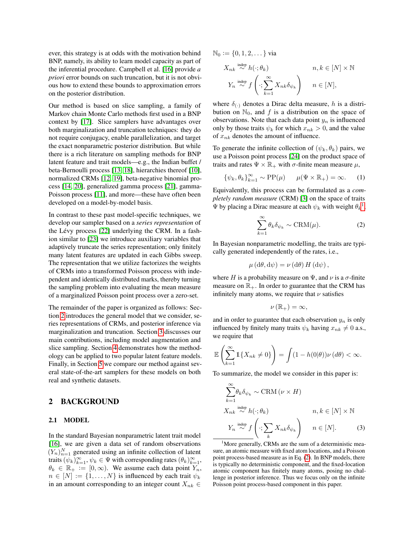ever, this strategy is at odds with the motivation behind BNP, namely, its ability to learn model capacity as part of the inferential procedure. Campbell et al. [\[16\]](#page-9-6) provide *a priori* error bounds on such truncation, but it is not obvious how to extend these bounds to approximation errors on the posterior distribution.

Our method is based on slice sampling, a family of Markov chain Monte Carlo methods first used in a BNP context by [\[17\]](#page-9-7). Slice samplers have advantages over both marginalization and truncation techniques: they do not require conjugacy, enable parallelization, and target the exact nonparametric posterior distribution. But while there is a rich literature on sampling methods for BNP latent feature and trait models—e.g., the Indian buffet / beta-Bernoulli process [\[13,](#page-9-8) [18\]](#page-9-9), hierarchies thereof [\[10\]](#page-9-3), normalized CRMs [\[12,](#page-9-10) [19\]](#page-9-11), beta-negative binomial process [\[14,](#page-9-4) [20\]](#page-9-12), generalized gamma process [\[21\]](#page-9-13), gamma-Poisson process [\[11\]](#page-9-14), and more—these have often been developed on a model-by-model basis.

In contrast to these past model-specific techniques, we develop our sampler based on a *series representation* of the Lévy process  $[22]$  $[22]$  underlying the CRM. In a fashion similar to [\[23\]](#page-9-16) we introduce auxiliary variables that adaptively truncate the series representation; only finitely many latent features are updated in each Gibbs sweep. The representation that we utilize factorizes the weights of CRMs into a transformed Poisson process with independent and identically distributed marks, thereby turning the sampling problem into evaluating the mean measure of a marginalized Poisson point process over a zero-set.

The remainder of the paper is organized as follows: Section [2](#page-1-0) introduces the general model that we consider, series representations of CRMs, and posterior inference via marginalization and truncation. Section [3](#page-2-0) discusses our main contributions, including model augmentation and slice sampling. Section [4](#page-5-0) demonstrates how the methodology can be applied to two popular latent feature models. Finally, in Section [5](#page-7-0) we compare our method against several state-of-the-art samplers for these models on both real and synthetic datasets.

# <span id="page-1-0"></span>2 BACKGROUND

#### 2.1 MODEL

In the standard Bayesian nonparametric latent trait model [\[16\]](#page-9-6), we are given a data set of random observations  $(Y_n)_{n=1}^N$  generated using an infinite collection of latent traits  $(\psi_k)_{k=1}^{\infty}, \psi_k \in \Psi$  with corresponding rates  $(\theta_k)_{k=1}^{\infty}$ ,  $\theta_k \in \mathbb{R}_+ := [0, \infty)$ . We assume each data point  $Y_n$ ,  $n \in [N] := \{1, \ldots, N\}$  is influenced by each trait  $\psi_k$ in an amount corresponding to an integer count  $X_{nk} \in$ 

 $\mathbb{N}_0 := \{0, 1, 2, \dots\}$  via

$$
X_{nk} \stackrel{\text{indep}}{\sim} h(\cdot; \theta_k) \qquad n, k \in [N] \times \mathbb{N}
$$
  

$$
Y_n \stackrel{\text{indep}}{\sim} f\left(\cdot; \sum_{k=1}^{\infty} X_{nk} \delta_{\psi_k}\right) \qquad n \in [N],
$$

where  $\delta_{(\cdot)}$  denotes a Dirac delta measure, h is a distribution on  $\mathbb{N}_0$ , and f is a distribution on the space of observations. Note that each data point  $y_n$  is influenced only by those traits  $\psi_k$  for which  $x_{nk} > 0$ , and the value of  $x_{nk}$  denotes the amount of influence.

To generate the infinite collection of  $(\psi_k, \theta_k)$  pairs, we use a Poisson point process [\[24\]](#page-9-17) on the product space of traits and rates  $\Psi \times \mathbb{R}_+$  with  $\sigma$ -finite mean measure  $\mu$ ,

$$
\{\psi_k, \theta_k\}_{k=1}^{\infty} \sim \text{PP}(\mu) \qquad \mu(\Psi \times \mathbb{R}_+) = \infty. \qquad (1)
$$

Equivalently, this process can be formulated as a *completely random measure* (CRM) [\[3\]](#page-8-2) on the space of traits  $\Psi$  by placing a Dirac measure at each  $\psi_k$  with weight  $\theta_k^1$  $\theta_k^1$ ,

<span id="page-1-3"></span><span id="page-1-2"></span>
$$
\sum_{k=1}^{\infty} \theta_k \delta_{\psi_k} \sim \text{CRM}(\mu). \tag{2}
$$

In Bayesian nonparametric modelling, the traits are typically generated independently of the rates, i.e.,

$$
\mu(\mathrm{d}\theta, \mathrm{d}\psi) = \nu(\mathrm{d}\theta) H(\mathrm{d}\psi),
$$

where H is a probability measure on  $\Psi$ , and  $\nu$  is a  $\sigma$ -finite measure on  $\mathbb{R}_+$ . In order to guarantee that the CRM has infinitely many atoms, we require that  $\nu$  satisfies

$$
\nu\left(\mathbb{R}_{+}\right)=\infty,
$$

and in order to guarantee that each observation  $y_n$  is only influenced by finitely many traits  $\psi_k$  having  $x_{nk} \neq 0$  a.s., we require that

$$
\mathbb{E}\left(\sum_{k=1}^{\infty} \mathbb{1}\{X_{nk} \neq 0\}\right) = \int (1 - h(0|\theta))\nu(d\theta) < \infty.
$$

To summarize, the model we consider in this paper is:

<span id="page-1-4"></span>
$$
\sum_{k=1}^{\infty} \theta_k \delta_{\psi_k} \sim \text{CRM}(\nu \times H)
$$
\n
$$
X_{nk} \stackrel{\text{indep}}{\sim} h(\cdot; \theta_k) \qquad n, k \in [N] \times \mathbb{N}
$$
\n
$$
Y_n \stackrel{\text{indep}}{\sim} f\left(\cdot; \sum_k X_{nk} \delta_{\psi_k}\right) \qquad n \in [N]. \tag{3}
$$

<span id="page-1-1"></span><sup>1</sup>More generally, CRMs are the sum of a deterministic measure, an atomic measure with fixed atom locations, and a Poisson point process-based measure as in Eq. [\(2\)](#page-1-2). In BNP models, there is typically no deterministic component, and the fixed-location atomic component has finitely many atoms, posing no challenge in posterior inference. Thus we focus only on the infinite Poisson point process-based component in this paper.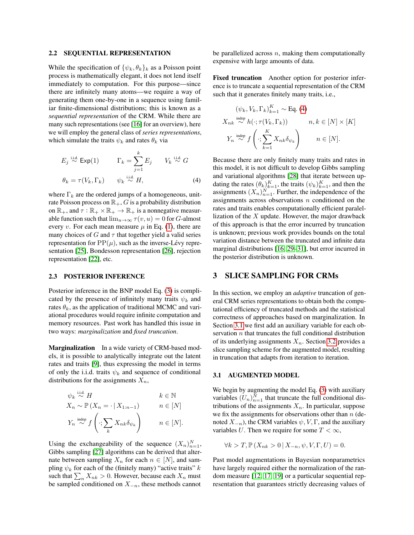#### 2.2 SEQUENTIAL REPRESENTATION

While the specification of  $\{\psi_k, \theta_k\}_k$  as a Poisson point process is mathematically elegant, it does not lend itself immediately to computation. For this purpose—since there are infinitely many atoms—we require a way of generating them one-by-one in a sequence using familiar finite-dimensional distributions; this is known as a *sequential representation* of the CRM. While there are many such representations (see [\[16\]](#page-9-6) for an overview), here we will employ the general class of *series representations*, which simulate the traits  $\psi_k$  and rates  $\theta_k$  via

$$
E_j \stackrel{\text{i.i.d.}}{\sim} \text{Exp}(1) \qquad \Gamma_k = \sum_{j=1}^k E_j \qquad V_k \stackrel{\text{i.i.d.}}{\sim} G
$$

$$
\theta_k = \tau(V_k, \Gamma_k) \qquad \psi_k \stackrel{\text{i.i.d.}}{\sim} H, \tag{4}
$$

where  $\Gamma_k$  are the ordered jumps of a homogeneous, unitrate Poisson process on  $\mathbb{R}_+$ , G is a probability distribution on  $\mathbb{R}_+$ , and  $\tau : \mathbb{R}_+ \times \mathbb{R}_+ \to \mathbb{R}_+$  is a nonnegative measurable function such that  $\lim_{u\to\infty} \tau(v, u) = 0$  for G-almost every v. For each mean measure  $\mu$  in Eq. [\(1\)](#page-1-3), there are many choices of G and  $\tau$  that together yield a valid series representation for  $PP(\mu)$ , such as the inverse-Lévy representation [\[25\]](#page-9-18), Bondesson representation [\[26\]](#page-9-19), rejection representation [\[22\]](#page-9-15), etc.

#### 2.3 POSTERIOR INFERENCE

Posterior inference in the BNP model Eq. [\(3\)](#page-1-4) is complicated by the presence of infinitely many traits  $\psi_k$  and rates  $\theta_k$ , as the application of traditional MCMC and variational procedures would require infinite computation and memory resources. Past work has handled this issue in two ways: *marginalization* and *fixed truncation*.

Marginalization In a wide variety of CRM-based models, it is possible to analytically integrate out the latent rates and traits [\[9\]](#page-9-2), thus expressing the model in terms of only the i.i.d. traits  $\psi_k$  and sequence of conditional distributions for the assignments  $X_n$ ,

$$
\psi_k \stackrel{\text{i.i.d.}}{\sim} H \qquad k \in \mathbb{N}
$$
\n
$$
X_n \sim \mathbb{P}(X_n = \cdot | X_{1:n-1}) \qquad n \in [N]
$$
\n
$$
Y_n \stackrel{\text{indep}}{\sim} f\left(\cdot; \sum_k X_{nk} \delta_{\psi_k}\right) \qquad n \in [N].
$$

Using the exchangeability of the sequence  $(X_n)_{n=1}^N$ , Gibbs sampling [\[27\]](#page-9-20) algorithms can be derived that alternate between sampling  $X_n$  for each  $n \in [N]$ , and sampling  $\psi_k$  for each of the (finitely many) "active traits" k such that  $\sum_n X_{nk} > 0$ . However, because each  $X_n$  must be sampled conditioned on  $X_{-n}$ , these methods cannot

be parallelized across  $n$ , making them computationally expensive with large amounts of data.

Fixed truncation Another option for posterior inference is to truncate a sequential representation of the CRM such that it generates finitely many traits, i.e.,

$$
(\psi_k, V_k, \Gamma_k)_{k=1}^K \sim \text{Eq. (4)}
$$
  

$$
X_{nk} \stackrel{\text{indep}}{\sim} h(\cdot; \tau(V_k, \Gamma_k)) \qquad n, k \in [N] \times [K]
$$
  

$$
Y_n \stackrel{\text{indep}}{\sim} f\left(\cdot; \sum_{k=1}^K X_{nk} \delta_{\psi_k}\right) \qquad n \in [N].
$$

<span id="page-2-1"></span>Because there are only finitely many traits and rates in this model, it is not difficult to develop Gibbs sampling and variational algorithms [\[28\]](#page-9-21) that iterate between updating the rates  $(\theta_k)_{k=1}^K$ , the traits  $(\psi_k)_{k=1}^K$ , and then the assignments  $(X_n)_{n=1}^N$ . Further, the independence of the assignments across observations  $n$  conditioned on the rates and traits enables computationally efficient paralellization of the  $X$  update. However, the major drawback of this approach is that the error incurred by truncation is unknown; previous work provides bounds on the total variation distance between the truncated and infinite data marginal distributions [\[16,](#page-9-6) [29–](#page-9-22)[31\]](#page-9-23), but error incurred in the posterior distribution is unknown.

### <span id="page-2-0"></span>3 SLICE SAMPLING FOR CRMs

In this section, we employ an *adaptive* truncation of general CRM series representations to obtain both the computational efficiency of truncated methods and the statistical correctness of approaches based on marginalization. In Section [3.1](#page-2-2) we first add an auxiliary variable for each observation  $n$  that truncates the full conditional distribution of its underlying assignments  $X_n$ . Section [3.2](#page-3-0) provides a slice sampling scheme for the augmented model, resulting in truncation that adapts from iteration to iteration.

#### <span id="page-2-2"></span>3.1 AUGMENTED MODEL

We begin by augmenting the model Eq. [\(3\)](#page-1-4) with auxiliary variables  $(U_n)_{n=1}^N$  that truncate the full conditional distributions of the assignments  $X_n$ . In particular, suppose we fix the assignments for observations other than  $n$  (denoted  $X_{-n}$ ), the CRM variables  $\psi$ , V, Γ, and the auxiliary variables U. Then we require for some  $T < \infty$ ,

$$
\forall k > T, \mathbb{P}\left(X_{nk} > 0 \,|\, X_{-n}, \psi, V, \Gamma, U\right) = 0.
$$

Past model augmentations in Bayesian nonparametrics have largely required either the normalization of the random measure [\[12,](#page-9-10) [17,](#page-9-7) [19\]](#page-9-11) or a particular sequential representation that guarantees strictly decreasing values of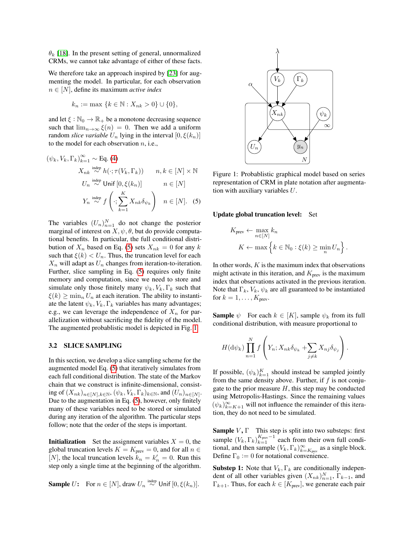$\theta_k$  [\[18\]](#page-9-9). In the present setting of general, unnormalized CRMs, we cannot take advantage of either of these facts.

We therefore take an approach inspired by [\[23\]](#page-9-16) for augmenting the model. In particular, for each observation n ∈ [N], define its maximum *active index*

$$
k_n := \max \{ k \in \mathbb{N} : X_{nk} > 0 \} \cup \{ 0 \},
$$

and let  $\xi : \mathbb{N}_0 \to \mathbb{R}_+$  be a monotone decreasing sequence such that  $\lim_{n\to\infty} \xi(n) = 0$ . Then we add a uniform random *slice variable*  $U_n$  lying in the interval  $[0, \xi(k_n)]$ to the model for each observation  $n$ , i.e.,

$$
(\psi_k, V_k, \Gamma_k)_{k=1}^{\infty} \sim \text{Eq. (4)}
$$
  

$$
X_{nk} \stackrel{\text{indep}}{\sim} h(\cdot; \tau(V_k, \Gamma_k)) \qquad n, k \in [N] \times \mathbb{N}
$$
  

$$
U_n \stackrel{\text{indep}}{\sim} \text{Unif } [0, \xi(k_n)] \qquad n \in [N]
$$
  

$$
Y_n \stackrel{\text{indep}}{\sim} f\left(\cdot; \sum_{k=1}^K X_{nk} \delta_{\psi_k}\right) \quad n \in [N]. \quad (5)
$$

The variables  $(U_n)_{n=1}^N$  do not change the posterior marginal of interest on  $X$ ,  $\psi$ ,  $\theta$ , but do provide computational benefits. In particular, the full conditional distribution of  $X_n$  based on Eq. [\(5\)](#page-3-1) sets  $X_{nk} = 0$  for any k such that  $\xi(k) < U_n$ . Thus, the truncation level for each  $X_n$  will adapt as  $U_n$  changes from iteration-to-iteration. Further, slice sampling in Eq. [\(5\)](#page-3-1) requires only finite memory and computation, since we need to store and simulate only those finitely many  $\psi_k$ ,  $V_k$ ,  $\Gamma_k$  such that  $\xi(k) \geq \min_n U_n$  at each iteration. The ability to instantiate the latent  $\psi_k$ ,  $V_k$ ,  $\Gamma_k$  variables has many advantages; e.g., we can leverage the independence of  $X_n$  for parallelization without sacrificing the fidelity of the model. The augmented probablistic model is depicted in Fig. [1.](#page-3-2)

#### <span id="page-3-0"></span>3.2 SLICE SAMPLING

In this section, we develop a slice sampling scheme for the augmented model Eq. [\(5\)](#page-3-1) that iteratively simulates from each full conditional distribution. The state of the Markov chain that we construct is infinite-dimensional, consisting of  $(X_{nk})_{n\in[N],k\in\mathbb{N}}$ ,  $(\psi_k,V_k,\Gamma_k)_{k\in\mathbb{N}}$ , and  $(U_n)_{n\in[N]}$ . Due to the augmentation in Eq. [\(5\)](#page-3-1), however, only finitely many of these variables need to be stored or simulated during any iteration of the algorithm. The particular steps follow; note that the order of the steps is important.

**Initialization** Set the assignment variables  $X = 0$ , the global truncation levels  $K = K<sub>prev</sub> = 0$ , and for all  $n \in$ [N], the local truncation levels  $k_n = k'_n = 0$ . Run this step only a single time at the beginning of the algorithm.

**Sample** 
$$
U
$$
: For  $n \in [N]$ , draw  $U_n \stackrel{\text{indep}}{\sim} \text{Unif } [0, \xi(k_n)]$ .

<span id="page-3-2"></span>

Figure 1: Probablistic graphical model based on series representation of CRM in plate notation after augmentation with auxiliary variables U.

#### <span id="page-3-1"></span>Update global truncation level: Set

$$
K_{\text{prev}} \leftarrow \max_{n \in [N]} k_n
$$
  

$$
K \leftarrow \max \left\{ k \in \mathbb{N}_0 : \xi(k) \ge \min_n U_n \right\}.
$$

In other words,  $K$  is the maximum index that observations might activate in this iteration, and  $K_{\text{prev}}$  is the maximum index that observations activated in the previous iteration. Note that  $\Gamma_k$ ,  $V_k$ ,  $\psi_k$  are all guaranteed to be instantiated for  $k = 1, \ldots, K_{\text{prev}}$ .

**Sample**  $\psi$  For each  $k \in [K]$ , sample  $\psi_k$  from its full conditional distribution, with measure proportional to

$$
H(\mathrm{d}\psi_k)\prod_{n=1}^N f\left(Y_n; X_{nk}\delta_{\psi_k} + \sum_{j\neq k} X_{nj}\delta_{\psi_j}\right).
$$

If possible,  $(\psi_k)_{k=1}^K$  should instead be sampled jointly from the same density above. Further, if  $f$  is not conjugate to the prior measure  $H$ , this step may be conducted using Metropolis-Hastings. Since the remaining values  $(\psi_k)_{k=K+1}^{\infty}$  will not influence the remainder of this iteration, they do not need to be simulated.

**Sample**  $V, \Gamma$  This step is split into two substeps: first sample  $(V_k, \Gamma_k)_{k=1}^{K_{\text{prev}}-1}$  each from their own full conditional, and then sample  $(V_k, \Gamma_k)_{k=K_{\text{prev}}}^{\infty}$  as a single block. Define  $\Gamma_0 := 0$  for notational convenience.

**Substep 1:** Note that  $V_k$ ,  $\Gamma_k$  are conditionally independent of all other variables given  $(X_{nk})_{n=1}^N$ ,  $\Gamma_{k-1}$ , and  $\Gamma_{k+1}$ . Thus, for each  $k \in [K_{\text{prev}}]$ , we generate each pair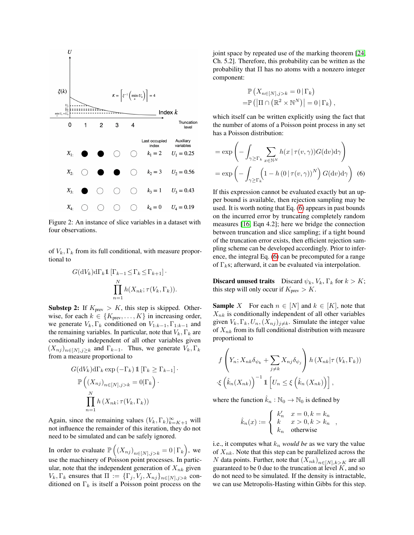

Figure 2: An instance of slice variables in a dataset with four observations.

of  $V_k$ ,  $\Gamma_k$  from its full conditional, with measure proportional to

$$
G(\mathrm{d}V_k)\mathrm{d}\Gamma_k \mathbb{1}\left[\Gamma_{k-1} \leq \Gamma_k \leq \Gamma_{k+1}\right] \cdot \prod_{n=1}^N h(X_{nk}; \tau(V_k, \Gamma_k)).
$$

**Substep 2:** If  $K_{\text{prev}} > K$ , this step is skipped. Otherwise, for each  $k \in \{K_{\text{prev}}, \ldots, K\}$  in increasing order, we generate  $V_k$ ,  $\Gamma_k$  conditioned on  $V_{1:k-1}$ ,  $\Gamma_{1:k-1}$  and the remaining variables. In particular, note that  $V_k$ ,  $\Gamma_k$  are conditionally independent of all other variables given  $(X_{nj})_{n\in[N],j\geq k}$  and  $\Gamma_{k-1}$ . Thus, we generate  $V_k, \Gamma_k$ from a measure proportional to

$$
G(\mathrm{d}V_k)\mathrm{d}\Gamma_k \exp(-\Gamma_k) \mathbb{1} [\Gamma_k \ge \Gamma_{k-1}] \cdot
$$

$$
\mathbb{P}\left((X_{nj})_{n \in [N], j > k} = 0 | \Gamma_k\right) \cdot
$$

$$
\prod_{n=1}^N h(X_{nk}; \tau(V_k, \Gamma_k))
$$

Again, since the remaining values  $(V_k, \Gamma_k)_{k=K+1}^{\infty}$  will not influence the remainder of this iteration, they do not need to be simulated and can be safely ignored.

In order to evaluate  $\mathbb{P}\left(\left(X_{nj}\right)_{n\in[N],j>k}=0\,\vert\,\Gamma_k\right)$ , we use the machinery of Poisson point processes. In particular, note that the independent generation of  $X_{nk}$  given  $V_k, \Gamma_k$  ensures that  $\Pi := {\{\Gamma_j, V_j, X_{nj}}\}_{n \in [N], j > k}$  conditioned on  $\Gamma_k$  is itself a Poisson point process on the joint space by repeated use of the marking theorem [\[24,](#page-9-17) Ch. 5.2]. Therefore, this probability can be written as the probability that  $\Pi$  has no atoms with a nonzero integer component:

<span id="page-4-0"></span>
$$
\mathbb{P}\left(X_{n\in[N],j>k}=0\,|\,\Gamma_k\right)
$$
  
=
$$
\mathbb{P}\left(|\Pi\cap\left(\mathbb{R}^2\times\mathbb{N}^N\right)\right|=0\,|\,\Gamma_k\right),
$$

which itself can be written explicitly using the fact that the number of atoms of a Poisson point process in any set has a Poisson distribution:

$$
= \exp\left(-\int_{\gamma \geq \Gamma_k} \sum_{x \in \mathbb{N}^N} h(x \mid \tau(v, \gamma)) G(\mathrm{d}v) \mathrm{d}\gamma\right)
$$

$$
= \exp\left(-\int_{\gamma \geq \Gamma_k} \left(1 - h\left(0 \mid \tau(v, \gamma)\right)^N\right) G(\mathrm{d}v) \mathrm{d}\gamma\right) (6)
$$

If this expression cannot be evaluated exactly but an upper bound is available, then rejection sampling may be used. It is worth noting that Eq. [\(6\)](#page-4-0) appears in past bounds on the incurred error by truncating completely random measures [\[16,](#page-9-6) Eqn 4.2]; here we bridge the connection between truncation and slice sampling; if a tight bound of the truncation error exists, then efficient rejection sampling scheme can be developed accordingly. Prior to inference, the integral Eq. [\(6\)](#page-4-0) can be precomputed for a range of  $\Gamma_k$ s; afterward, it can be evaluated via interpolation.

**Discard unused traits** Discard  $\psi_k$ ,  $V_k$ ,  $\Gamma_k$  for  $k > K$ ; this step will only occur if  $K_{prev} > K$ .

**Sample** X For each  $n \in [N]$  and  $k \in [K]$ , note that  $X_{nk}$  is conditionally independent of all other variables given  $V_k, \Gamma_k, U_n, (X_{nj})_{j \neq k}$ . Simulate the integer value of  $X_{nk}$  from its full conditional distribution with measure proportional to

$$
f\left(Y_n; X_{nk}\delta_{\psi_k} + \sum_{j \neq k} X_{nj}\delta_{\psi_j}\right) h\left(X_{nk} | \tau\left(V_k, \Gamma_k\right)\right)
$$

$$
\left\{\hat{k}_n(X_{nk})\right\}^{-1} \mathbb{1}\left[U_n \leq \xi\left(\hat{k}_n(X_{nk})\right)\right],
$$

where the function  $\hat{k}_n : \mathbb{N}_0 \to \mathbb{N}_0$  is defined by

$$
\hat{k}_n(x) := \begin{cases} k'_n & x = 0, k = k_n \\ k & x > 0, k > k_n \\ k_n & \text{otherwise} \end{cases}
$$

i.e., it computes what  $k_n$  *would be* as we vary the value of  $X_{nk}$ . Note that this step can be parallelized across the N data points. Further, note that  $(X_{nk})_{n\in[N],k>K}$  are all guaranteed to be 0 due to the truncation at level  $K$ , and so do not need to be simulated. If the density is intractable, we can use Metropolis-Hasting within Gibbs for this step.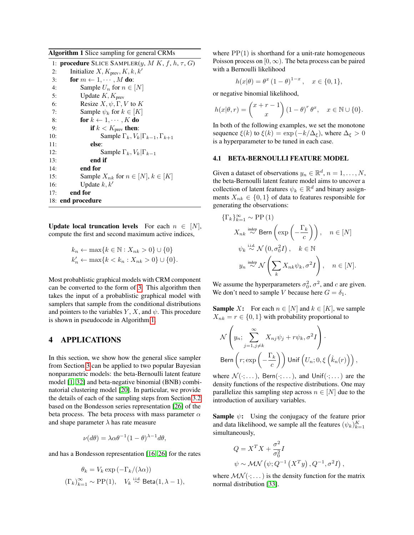<span id="page-5-1"></span>Algorithm 1 Slice sampling for general CRMs

|     | 1: <b>procedure</b> SLICE SAMPLER( <i>y</i> , <i>M K</i> , <i>f</i> , <i>h</i> , $\tau$ , <i>G</i> ) |
|-----|------------------------------------------------------------------------------------------------------|
| 2:  | Initialize X, $K_{\text{prev}}, K, k, k'$                                                            |
| 3:  | for $m \leftarrow 1, \cdots, M$ do:                                                                  |
| 4:  | Sample $U_n$ for $n \in [N]$                                                                         |
| 5:  | Update $K, K_{\text{prev}}$                                                                          |
| 6:  | Resize $X, \psi, \Gamma, V$ to K                                                                     |
| 7:  | Sample $\psi_k$ for $k \in [K]$                                                                      |
| 8:  | for $k \leftarrow 1, \cdots, K$ do                                                                   |
| 9:  | if $k < K_{\text{prev}}$ then:                                                                       |
| 10: | Sample $\Gamma_k, V_k   \Gamma_{k-1}, \Gamma_{k+1}$                                                  |
| 11: | else:                                                                                                |
| 12: | Sample $\Gamma_k, V_k   \Gamma_{k-1}$                                                                |
| 13: | end if                                                                                               |
| 14: | end for                                                                                              |
| 15: | Sample $X_{nk}$ for $n \in [N], k \in [K]$                                                           |
| 16: | Update $k, k'$                                                                                       |
| 17: | end for                                                                                              |
|     | 18: end procedure                                                                                    |

Update local truncation levels For each  $n \in [N]$ , compute the first and second maximum active indices,

$$
k_n \leftarrow \max\{k \in \mathbb{N} : X_{nk} > 0\} \cup \{0\}
$$
  

$$
k'_n \leftarrow \max\{k < k_n : X_{nk} > 0\} \cup \{0\}.
$$

Most probablistic graphical models with CRM component can be converted to the form of [3.](#page-1-4) This algorithm then takes the input of a probablistic graphical model with samplers that sample from the conditional distributions and pointers to the variables  $Y, X$ , and  $\psi$ . This procedure is shown in pseudocode in Algorithm [1.](#page-5-1)

# <span id="page-5-0"></span>4 APPLICATIONS

In this section, we show how the general slice sampler from Section [3](#page-2-0) can be applied to two popular Bayesian nonparametric models: the beta-Bernoulli latent feature model [\[1,](#page-8-0) [32\]](#page-9-24) and beta-negative binomial (BNB) combinatorial clustering model [\[20\]](#page-9-12). In particular, we provide the details of each of the sampling steps from Section [3.2](#page-3-0) based on the Bondesson series representation [\[26\]](#page-9-19) of the beta process. The beta process with mass parameter  $\alpha$ and shape parameter  $\lambda$  has rate measure

$$
\nu(d\theta) = \lambda \alpha \theta^{-1} (1 - \theta)^{\lambda - 1} d\theta,
$$

and has a Bondesson representation [\[16,](#page-9-6) [26\]](#page-9-19) for the rates

$$
\theta_k = V_k \exp\left(-\Gamma_k/(\lambda \alpha)\right)
$$
  

$$
(\Gamma_k)_{k=1}^{\infty} \sim \text{PP}(1), \quad V_k \stackrel{\text{i.i.d.}}{\sim} \text{Beta}(1, \lambda - 1),
$$

where  $PP(1)$  is shorthand for a unit-rate homogeneous Poisson process on  $[0, \infty)$ . The beta process can be paired with a Bernoulli likelihood

$$
h(x|\theta) = \theta^x (1 - \theta)^{1 - x}, \quad x \in \{0, 1\},\
$$

or negative binomial likelihood,

$$
h(x|\theta, r) = {x+r-1 \choose x} (1-\theta)^r \theta^x, \quad x \in \mathbb{N} \cup \{0\}.
$$

In both of the following examples, we set the monotone sequence  $\xi(k)$  to  $\xi(k) = \exp(-k/\Delta_{\xi})$ , where  $\Delta_{\xi} > 0$ is a hyperparameter to be tuned in each case.

#### <span id="page-5-2"></span>4.1 BETA-BERNOULLI FEATURE MODEL

Given a dataset of observations  $y_n \in \mathbb{R}^d$ ,  $n = 1, \dots, N$ , the beta-Bernoulli latent feature model aims to uncover a collection of latent features  $\psi_k \in \mathbb{R}^d$  and binary assignments  $X_{nk} \in \{0,1\}$  of data to features responsible for generating the observations:

$$
\{\Gamma_k\}_{k=1}^{\infty} \sim \text{PP}(1)
$$
  

$$
X_{nk} \stackrel{\text{indep}}{\sim} \text{Bern}\left(\exp\left(-\frac{\Gamma_k}{c}\right)\right), \quad n \in [N]
$$
  

$$
\psi_k \stackrel{\text{i.i.d.}}{\sim} \mathcal{N}\left(0, \sigma_0^2 I\right), \quad k \in \mathbb{N}
$$
  

$$
y_n \stackrel{\text{indep}}{\sim} \mathcal{N}\left(\sum_k X_{nk} \psi_k, \sigma^2 I\right), \quad n \in [N].
$$

We assume the hyperparameters  $\sigma_0^2$ ,  $\sigma^2$ , and c are given. We don't need to sample V because here  $G = \delta_1$ .

**Sample** X: For each  $n \in [N]$  and  $k \in [K]$ , we sample  $X_{nk} = r \in \{0, 1\}$  with probability proportional to

$$
\mathcal{N}\left(y_n; \sum_{j=1,j\neq k}^{\infty} X_{nj}\psi_j + r\psi_k, \sigma^2 I\right).
$$
  
Bern $\left(r; \exp\left(-\frac{\Gamma_k}{c}\right)\right)$ Unif  $\left(U_n; 0, \xi\left(\hat{k}_n(r)\right)\right)$ ,

where  $\mathcal{N}(\cdot; \dots)$ , Bern $(\cdot; \dots)$ , and Unif $(\cdot; \dots)$  are the density functions of the respective distributions. One may parallelize this sampling step across  $n \in [N]$  due to the introduction of auxiliary variables.

**Sample**  $\psi$ **:** Using the conjugacy of the feature prior and data likelihood, we sample all the features  $(\psi_k)_{k=1}^K$ simultaneously,

$$
Q = X^T X + \frac{\sigma^2}{\sigma_0^2} I
$$
  

$$
\psi \sim \mathcal{MN} (\psi; Q^{-1} (X^T y), Q^{-1}, \sigma^2 I),
$$

where  $\mathcal{MN}(\cdot; \dots)$  is the density function for the matrix normal distribution [\[33\]](#page-9-25).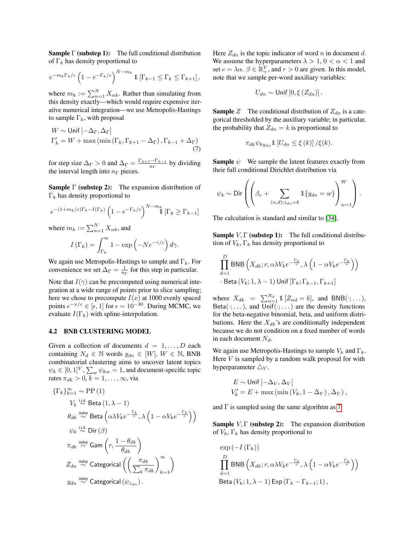**Sample Γ (substep 1):** The full conditional distribution of  $\Gamma_k$  has density proportional to

$$
e^{-m_k\Gamma_k/c} \left(1 - e^{-\Gamma_k/c}\right)^{N - m_k} \mathbb{1}\left[\Gamma_{k-1} \le \Gamma_k \le \Gamma_{k+1}\right],
$$

where  $m_k := \sum_{n=1}^{N} X_{nk}$ . Rather than simulating from this density exactly—which would require expensive iterative numerical integration—we use Metropolis-Hastings to sample  $\Gamma_k$ , with proposal

$$
W \sim \text{Unif } [-\Delta_{\Gamma}, \Delta_{\Gamma}]
$$
  
\n
$$
\Gamma'_{k} = W + \max (\min (\Gamma_{k}, \Gamma_{k+1} - \Delta_{\Gamma}), \Gamma_{k-1} + \Delta_{\Gamma})
$$
 (7)

for step size  $\Delta_{\Gamma} > 0$  and  $\Delta_{\Gamma} = \frac{\Gamma_{k+1} - \Gamma_{k-1}}{n_{\Gamma}}$  $\frac{n}{n}$  by dividing the interval length into  $n_{\Gamma}$  pieces.

**Sample**  $\Gamma$  (substep 2): The expansion distribution of  $\Gamma_k$  has density proportional to

$$
e^{-(1+m_k/c)\Gamma_k - I(\Gamma_k)} \left(1 - e^{-\Gamma_k/c}\right)^{N-m_k} \mathbb{1}\left[\Gamma_k \ge \Gamma_{k-1}\right]
$$

where  $m_k := \sum_{n=1}^{N} X_{nk}$ , and

$$
I\left(\Gamma_k\right) = \int_{\Gamma_k}^{\infty} 1 - \exp\left(-Ne^{-\gamma/c}\right) d\gamma.
$$

We again use Metropolis-Hastings to sample and  $\Gamma_k$ . For convenience we set  $\Delta_{\Gamma} = \frac{1}{n_{\Gamma}}$  for this step in particular.

Note that  $I(\gamma)$  can be precomputed using numerical integration at a wide range of points prior to slice sampling; here we chose to precompute  $I(x)$  at 1000 evenly spaced points  $e^{-x/c} \in [\epsilon, 1]$  for  $\epsilon = 10^{-30}$ . During MCMC, we evaluate  $I(\Gamma_k)$  with spline-interpolation.

#### <span id="page-6-1"></span>4.2 BNB CLUSTERING MODEL

Given a collection of documents  $d = 1, \ldots, D$  each containing  $N_d \in \mathbb{N}$  words  $y_{dn} \in [W], W \in \mathbb{N}$ , BNB combinatorial clustering aims to uncover latent topics  $\psi_k \in [0,1]^V$ ,  $\sum_w \psi_{kw} = 1$ , and document-specific topic rates  $\pi_{dk} > 0, k = 1, \ldots, \infty$ , via

$$
\begin{aligned} \{\Gamma_k\}_{k=1}^\infty &\sim \text{PP}\left(1\right) \\ V_k \overset{\text{i.i.d.}}{\sim} \text{Beta}\left(1,\lambda-1\right) \\ \theta_{dk} \overset{\text{indep}}{\sim} \text{Beta}\left(\alpha \lambda V_k e^{-\frac{\Gamma_k}{c}},\lambda \left(1-\alpha V_k e^{-\frac{\Gamma_k}{c}}\right)\right) \\ \psi_k \overset{\text{i.i.d.}}{\sim} \text{Dir}\left(\beta\right) \\ \pi_{dk} \overset{\text{indep}}{\sim} \text{Gam}\left(r,\frac{1-\theta_{dk}}{\theta_{dk}}\right) \\ Z_{dn} \overset{\text{indep}}{\sim} \text{Categorical}\left(\left(\frac{\pi_{dk}}{\sum_k \pi_{dk}}\right)_{k=1}^\infty\right) \\ y_{dn} \overset{\text{indep}}{\sim} \text{Categorical}\left(\psi_{z_{dn}}\right). \end{aligned}
$$

Here  $Z_{dn}$  is the topic indicator of word n in document d. We assume the hyperparameters  $\lambda > 1$ ,  $0 < \alpha < 1$  and set  $c = \lambda \alpha$ .  $\beta \in \mathbb{R}^V_+$ , and  $r > 0$  are given. In this model, note that we sample per-word auxiliary variables:

$$
U_{dn} \sim \text{Unif}\left[0, \xi\left(Z_{dn}\right)\right].
$$

**Sample** Z The conditional distribution of  $Z_{dn}$  is a categorical thresholded by the auxiliary variable; in particular, the probability that  $Z_{dn} = k$  is proportional to

$$
\pi_{dk}\psi_{ky_{dn}}11[U_{dn}\leq \xi(k)]/\xi(k).
$$

<span id="page-6-0"></span>**Sample**  $\psi$  We sample the latent features exactly from their full conditional Dirichlet distribution via

$$
\psi_k \sim \text{Dir}\left(\left(\beta_v + \sum_{(n,d):z_{dn}=k} 1\!\!1\{y_{dn}=w\}\right)_{w=1}^W\right).
$$

The calculation is standard and similar to [\[34\]](#page-9-26).

**Sample**  $V, \Gamma$  (substep 1): The full conditional distribution of  $V_k$ ,  $\Gamma_k$  has density proportional to

$$
\prod_{d=1}^{D} \text{BNB}\left(X_{dk}; r, \alpha \lambda V_k e^{-\frac{\Gamma_k}{c}}, \lambda \left(1 - \alpha V_k e^{-\frac{\Gamma_k}{c}}\right)\right)
$$
  
· Beta $(V_k; 1, \lambda - 1)$ Unif  $[\Gamma_k; \Gamma_{k-1}, \Gamma_{k+1}]$ 

where  $X_{dk} = \sum_{n=1}^{N_d} 1 \left[ Z_{nd} = k \right]$ , and BNB( $\cdot; \dots$ ), Beta( $\cdot$ ; ...), and  $\overline{Unif}(\cdot; ...)$  are the density functions for the beta-negative binomial, beta, and uniform distributions. Here the  $X_{dk}$ 's are conditionally independent because we do not condition on a fixed number of words in each document  $N_d$ .

We again use Metropolis-Hastings to sample  $V_k$  and  $\Gamma_k$ . Here  $V$  is sampled by a random walk proposal for with hyperparameter  $\triangle_V$ .

$$
E \sim \text{Unif } [-\Delta_V, \Delta_V]
$$
  

$$
V'_k = E + \max(\min(V_k, 1 - \Delta_V), \Delta_V),
$$

and  $\Gamma$  is sampled using the same algorihtm as [7.](#page-6-0)

**Sample**  $V, \Gamma$  (substep 2): The expansion distribution of  $V_k$ ,  $\Gamma_k$  has density proportional to

$$
\exp\left(-I\left(\Gamma_{k}\right)\right)
$$
\n
$$
\prod_{d=1}^{D} \text{BNB}\left(X_{dk}; r, \alpha\lambda V_{k}e^{-\frac{\Gamma_{k}}{c}}, \lambda\left(1 - \alpha V_{k}e^{-\frac{\Gamma_{k}}{c}}\right)\right)
$$
\nBeta (V\_{k}; 1, \lambda - 1) Exp (Γ\_{k} - Γ\_{k-1}; 1),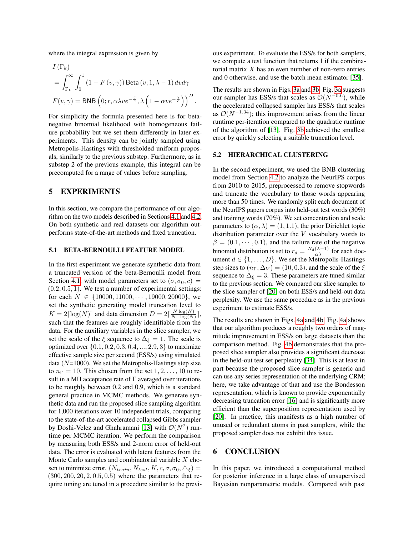where the integral expression is given by

$$
I(\Gamma_k)
$$
  
=  $\int_{\Gamma_k}^{\infty} \int_0^1 (1 - F(v, \gamma)) \text{Beta}(v; 1, \lambda - 1) dv d\gamma$   

$$
F(v, \gamma) = \text{BNB} \left( 0; r, \alpha \lambda v e^{-\frac{\gamma}{c}}, \lambda \left( 1 - \alpha v e^{-\frac{\gamma}{c}} \right) \right)^D
$$

.

For simplicity the formula presented here is for betanegative binomial likelihood with homogeneous failure probability but we set them differently in later experiments. This density can be jointly sampled using Metropolis-Hastings with thresholded uniform proposals, similarly to the previous substep. Furthermore, as in substep 2 of the previous example, this integral can be precomputed for a range of values before sampling.

# <span id="page-7-0"></span>5 EXPERIMENTS

In this section, we compare the performance of our algorithm on the two models described in Sections [4.1](#page-5-2) and [4.2.](#page-6-1) On both synthetic and real datasets our algorithm outperforms state-of-the-art methods and fixed truncation.

### 5.1 BETA-BERNOULLI FEATURE MODEL

In the first experiment we generate synthetic data from a truncated version of the beta-Bernoulli model from Section [4.1,](#page-5-2) with model parameters set to  $(\sigma, \sigma_0, c)$  =  $(0.2, 0.5, 1)$ . We test a number of experimental settings: for each  $N \in \{10000, 11000, \cdots, 19000, 20000\}$ , we set the synthetic generating model truncation level to  $K = 2\lceil \log(N) \rceil$  and data dimension  $D = 2\lceil \frac{N \log(N)}{N - \log(N)} \rceil$  $\frac{N \log(N)}{N - \log(N)}$ , such that the features are roughly identifiable from the data. For the auxiliary variables in the slice sampler, we set the scale of the  $\xi$  sequence to  $\Delta_{\xi} = 1$ . The scale is optimized over  $\{0.1, 0.2, 0.3, 0.4, ..., 2.9, 3\}$  to maximize effective sample size per second (ESS/s) using simulated data ( $N=1000$ ). We set the Metropolis-Hastings step size to  $n_{\Gamma} = 10$ . This chosen from the set  $1, 2, \ldots, 10$  to result in a MH acceptance rate of  $\Gamma$  averaged over iterations to be roughly between 0.2 and 0.9, which is a standard general practice in MCMC methods. We generate synthetic data and run the proposed slice sampling algorithm for 1,000 iterations over 10 independent trials, comparing to the state-of-the-art accelerated collapsed Gibbs sampler by Doshi-Velez and Ghahramani [\[13\]](#page-9-8) with  $\mathcal{O}(N^2)$  runtime per MCMC iteration. We perform the comparison by measuring both ESS/s and 2-norm error of held-out data. The error is evaluated with latent features from the Monte Carlo samples and combinatorial variable  $X$  chosen to minimize error.  $(N_{train}, N_{test}, K, c, \sigma, \sigma_0, \triangle_{\xi})$  =  $(300, 200, 20, 2, 0.5, 0.5)$  where the parameters that require tuning are tuned in a procedure similar to the previous experiment. To evaluate the ESS/s for both samplers, we compute a test function that returns 1 if the combinatorial matrix  $X$  has an even number of non-zero entries and 0 otherwise, and use the batch mean estimator [\[35\]](#page-9-27).

The results are shown in Figs. [3a](#page-8-4) and [3b.](#page-8-4) Fig. [3a](#page-8-4) suggests our sampler has ESS/s that scales as  $\mathcal{O}(N^{-0.6})$ , while the accelerated collapsed sampler has ESS/s that scales as  $\mathcal{O}(N^{-1.34})$ ; this improvement arises from the linear runtime per-iteration compared to the quadratic runtime of the algorithm of [\[13\]](#page-9-8). Fig. [3b](#page-8-4) achieved the smallest error by quickly selecting a suitable truncation level.

#### 5.2 HIERARCHICAL CLUSTERING

In the second experiment, we used the BNB clustering model from Section [4.2](#page-6-1) to analyze the NeurIPS corpus from 2010 to 2015, preprocessed to remove stopwords and truncate the vocabulary to those words appearing more than 50 times. We randomly split each document of the NeurIPS papers corpus into held-out test words (30%) and training words (70%). We set concentration and scale parameters to  $(\alpha, \lambda) = (1, 1.1)$ , the prior Dirichlet topic distribution parameter over the V vocabulary words to  $\beta = (0.1, \dots, 0.1)$ , and the failure rate of the negative binomial distribution is set to  $r_d = \frac{N_d(\lambda - 1)}{\alpha \lambda}$  for each document  $d \in \{1, \ldots, D\}$ . We set the Metropolis-Hastings step sizes to  $(n_{\Gamma}, \Delta_V) = (10, 0.3)$ , and the scale of the  $\xi$ sequence to  $\Delta_{\xi} = 3$ . These parameters are tuned similar to the previous section. We compared our slice sampler to the slice sampler of [\[20\]](#page-9-12) on both ESS/s and held-out data perplexity. We use the same procedure as in the previous experiment to estimate ESS/s.

The results are shown in Figs. [4a](#page-8-5) and [4b.](#page-8-5) Fig. [4a](#page-8-5) shows that our algorithm produces a roughly two orders of magnitude improvement in ESS/s on large datasets than the comparison method. Fig. [4b](#page-8-5) demonstrates that the proposed slice sampler also provides a significant decrease in the held-out test set perplexity [\[34\]](#page-9-26). This is at least in part because the proposed slice sampler is generic and can use any series representation of the underlying CRM; here, we take advantage of that and use the Bondesson representation, which is known to provide exponentially decreasing truncation error [\[16\]](#page-9-6) and is significantly more efficient than the superposition representation used by [\[20\]](#page-9-12). In practice, this manifests as a high number of unused or redundant atoms in past samplers, while the proposed sampler does not exhibit this issue.

### 6 CONCLUSION

In this paper, we introduced a computational method for posterior inference in a large class of unsupervised Bayesian nonparametric models. Compared with past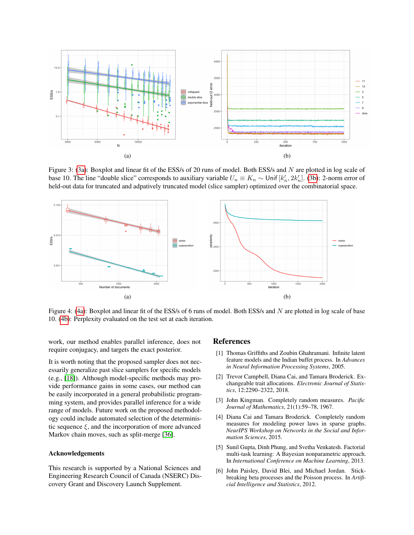<span id="page-8-4"></span>

Figure 3: [\(3a\)](#page-8-4): Boxplot and linear fit of the ESS/s of 20 runs of model. Both ESS/s and N are plotted in log scale of base 10. The line "double slice" corresponds to auxiliary variable  $U_n \equiv K_n \sim 0$ nif  $[k'_n, 2k'_n]$ . [\(3b\)](#page-8-4): 2-norm error of held-out data for truncated and adpatively truncated model (slice sampler) optimized over the combinatorial space.

<span id="page-8-5"></span>

Figure 4: [\(4a\)](#page-8-5): Boxplot and linear fit of the ESS/s of 6 runs of model. Both ESS/s and N are plotted in log scale of base 10. [\(4b\)](#page-8-5): Perplexity evaluated on the test set at each iteration.

work, our method enables parallel inference, does not require conjugacy, and targets the exact posterior.

It is worth noting that the proposed sampler does not necessarily generalize past slice samplers for specific models (e.g., [\[18\]](#page-9-9)). Although model-specific methods may provide performance gains in some cases, our method can be easily incorporated in a general probabilistic programming system, and provides parallel inference for a wide range of models. Future work on the proposed methodology could include automated selection of the deterministic sequence  $\xi$ , and the incorporation of more advanced Markov chain moves, such as split-merge [\[36\]](#page-9-28).

#### Acknowledgements

This research is supported by a National Sciences and Engineering Research Council of Canada (NSERC) Discovery Grant and Discovery Launch Supplement.

#### References

- <span id="page-8-0"></span>[1] Thomas Griffiths and Zoubin Ghahramani. Infinite latent feature models and the Indian buffet process. In *Advances in Neural Information Processing Systems*, 2005.
- <span id="page-8-1"></span>[2] Trevor Campbell, Diana Cai, and Tamara Broderick. Exchangeable trait allocations. *Electronic Journal of Statistics*, 12:2290–2322, 2018.
- <span id="page-8-2"></span>[3] John Kingman. Completely random measures. *Pacific Journal of Mathematics*, 21(1):59–78, 1967.
- <span id="page-8-3"></span>[4] Diana Cai and Tamara Broderick. Completely random measures for modeling power laws in sparse graphs. *NeurIPS Workshop on Networks in the Social and Information Sciences*, 2015.
- [5] Sunil Gupta, Dinh Phung, and Svetha Venkatesh. Factorial multi-task learning: A Bayesian nonparametric approach. In *International Conference on Machine Learning*, 2013.
- [6] John Paisley, David Blei, and Michael Jordan. Stickbreaking beta processes and the Poisson process. In *Artificial Intelligence and Statistics*, 2012.